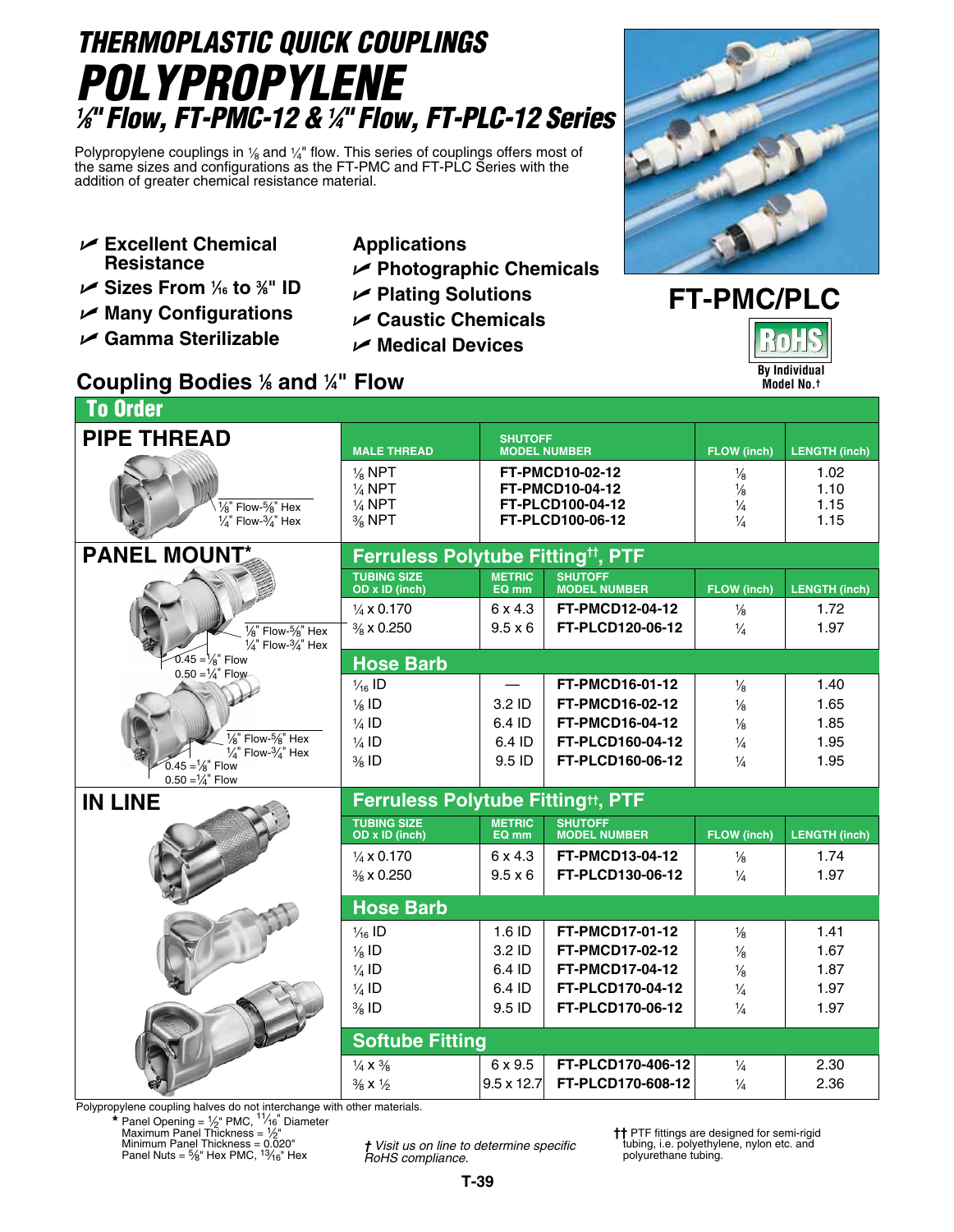# *THERMOPLASTIC QUICK COUPLINGS Polypropylene 1 ⁄8" Flow, FT-PMC-12 & 1 ⁄4" Flow, FT-PLC-12 Series*

Polypropylene couplings in  $\frac{1}{8}$  and  $\frac{1}{4}$ " flow. This series of couplings offers most of the same sizes and configurations as the FT-PMC and FT-PLC Series with the addition of greater chemical resistance material.

- U **Excellent Chemical Resistance**
- U **Sizes From 1 ⁄16 to 3 ⁄8" ID**
- U **Many Configurations**
- U **Gamma Sterilizable**
- **Applications**
- U **Photographic Chemicals**
- U **Plating Solutions**
- U **Caustic Chemicals**
- U **Medical Devices**

### **Coupling Bodies 1 ⁄8 and 1 ⁄4" Flow**



## **FT-PMC/PLC By Individual Model No.†**

| <b>To Order</b>                                                                                                     |                                                                                  |                                                                                                                                   |                                            |                                                                  |                              |  |  |  |  |
|---------------------------------------------------------------------------------------------------------------------|----------------------------------------------------------------------------------|-----------------------------------------------------------------------------------------------------------------------------------|--------------------------------------------|------------------------------------------------------------------|------------------------------|--|--|--|--|
| <b>PIPE THREAD</b>                                                                                                  | <b>MALE THREAD</b>                                                               | <b>SHUTOFF</b><br><b>MODEL NUMBER</b><br><b>FT-PMCD10-02-12</b><br><b>FT-PMCD10-04-12</b><br>FT-PLCD100-04-12<br>FT-PLCD100-06-12 |                                            | <b>FLOW</b> (inch)                                               | <b>LENGTH (inch)</b>         |  |  |  |  |
| $\frac{1}{8}$ " Flow- $\frac{5}{8}$ " Hex<br>$\frac{1}{4}$ " Flow- $\frac{3}{4}$ " Hex                              | $\frac{1}{8}$ NPT<br>$\frac{1}{4}$ NPT<br>$\frac{1}{4}$ NPT<br>$\frac{3}{8}$ NPT |                                                                                                                                   |                                            | $\frac{1}{8}$<br>$\frac{1}{8}$<br>$\frac{1}{4}$<br>$\frac{1}{4}$ | 1.02<br>1.10<br>1.15<br>1.15 |  |  |  |  |
| <b>PANEL MOUNT</b>                                                                                                  | Ferruless Polytube Fitting <sup>tt</sup> , PTF                                   |                                                                                                                                   |                                            |                                                                  |                              |  |  |  |  |
|                                                                                                                     | <b>TUBING SIZE</b><br>OD x ID (inch)                                             | <b>METRIC</b><br>EQ mm                                                                                                            | <b>SHUTOFF</b><br><b>MODEL NUMBER</b>      | <b>FLOW (inch)</b>                                               | <b>LENGTH (inch)</b>         |  |  |  |  |
| $\frac{1}{8}$ " Flow- $\frac{5}{8}$ " Hex<br>$\frac{1}{4}$ " Flow- $\frac{3}{4}$ " Hex                              | $\frac{1}{4}$ x 0.170<br>$\frac{3}{8}$ x 0.250                                   | 6 x 4.3<br>$9.5 \times 6$                                                                                                         | <b>FT-PMCD12-04-12</b><br>FT-PLCD120-06-12 | $\frac{1}{8}$<br>$\frac{1}{4}$                                   | 1.72<br>1.97                 |  |  |  |  |
| $0.45 = \frac{1}{8}$ Flow                                                                                           | <b>Hose Barb</b>                                                                 |                                                                                                                                   |                                            |                                                                  |                              |  |  |  |  |
| $0.50 = \frac{1}{4}$ Flow                                                                                           | $\frac{1}{46}$ ID<br>$\frac{1}{8}$ ID                                            | 3.2 ID                                                                                                                            | FT-PMCD16-01-12<br>FT-PMCD16-02-12         | $\frac{1}{8}$<br>$\frac{1}{8}$                                   | 1.40<br>1.65                 |  |  |  |  |
|                                                                                                                     | $\frac{1}{4}$ ID                                                                 | 6.4 ID                                                                                                                            | FT-PMCD16-04-12                            | $\frac{1}{8}$                                                    | 1.85                         |  |  |  |  |
| $\frac{1}{8}$ " Flow- $\frac{5}{8}$ " Hex<br>$\frac{1}{4}$ " Flow- $\frac{3}{4}$ " Hex<br>$0.45 = \frac{1}{8}$ Flow | $\frac{1}{4}$ ID<br>$\frac{3}{8}$ ID                                             | 6.4 ID<br>9.5 ID                                                                                                                  | FT-PLCD160-04-12<br>FT-PLCD160-06-12       | $\frac{1}{4}$<br>$\frac{1}{4}$                                   | 1.95<br>1.95                 |  |  |  |  |
| <b>IN LINE</b>                                                                                                      | $0.50 = \frac{1}{4}$ Flow<br><b>Ferruless Polytube Fitting#, PTF</b>             |                                                                                                                                   |                                            |                                                                  |                              |  |  |  |  |
|                                                                                                                     | <b>TUBING SIZE</b><br>OD x ID (inch)                                             | <b>METRIC</b><br>EQ mm                                                                                                            | <b>SHUTOFF</b><br><b>MODEL NUMBER</b>      | FLOW (inch)                                                      | <b>LENGTH (inch)</b>         |  |  |  |  |
|                                                                                                                     | $\frac{1}{4}$ x 0.170<br>% x 0.250                                               | 6 x 4.3<br>$9.5 \times 6$                                                                                                         | <b>FT-PMCD13-04-12</b><br>FT-PLCD130-06-12 | $\frac{1}{8}$<br>$\frac{1}{4}$                                   | 1.74<br>1.97                 |  |  |  |  |
|                                                                                                                     | <b>Hose Barb</b>                                                                 |                                                                                                                                   |                                            |                                                                  |                              |  |  |  |  |
|                                                                                                                     | $\frac{1}{16}$ ID<br>$\frac{1}{8}$ ID                                            | 1.6 ID<br>3.2 ID                                                                                                                  | FT-PMCD17-01-12<br><b>FT-PMCD17-02-12</b>  | $\frac{1}{8}$<br>$\frac{1}{8}$                                   | 1.41<br>1.67                 |  |  |  |  |
|                                                                                                                     | $\frac{1}{4}$ ID                                                                 | 6.4 ID                                                                                                                            | FT-PMCD17-04-12                            | $\frac{1}{8}$                                                    | 1.87                         |  |  |  |  |
|                                                                                                                     | $\frac{1}{4}$ ID<br>$\frac{3}{8}$ ID                                             | 6.4 ID<br>9.5 ID                                                                                                                  | FT-PLCD170-04-12<br>FT-PLCD170-06-12       | $\frac{1}{4}$<br>$\frac{1}{4}$                                   | 1.97<br>1.97                 |  |  |  |  |
|                                                                                                                     | <b>Softube Fitting</b>                                                           |                                                                                                                                   |                                            |                                                                  |                              |  |  |  |  |
|                                                                                                                     | $\frac{1}{4}$ X $\frac{3}{8}$<br>$\frac{3}{8}$ X $\frac{1}{2}$                   | 6 x 9.5<br>$9.5 \times 12.7$                                                                                                      | FT-PLCD170-406-12<br>FT-PLCD170-608-12     | $\frac{1}{4}$<br>$\frac{1}{4}$                                   | 2.30<br>2.36                 |  |  |  |  |
|                                                                                                                     |                                                                                  |                                                                                                                                   |                                            |                                                                  |                              |  |  |  |  |

Polypropylene coupling halves do not interchange with other materials.

**\*** Panel Opening = 1/2" PMC, <sup>11</sup>/<sub>16</sub>" Diameter<br>Maximum Panel Thickness = 1/2"<br>Minimum Panel Thickness = 0.020"<br>Panel Nuts = 5/<sub>8</sub>" Hex PMC, <sup>13</sup>/<sub>16</sub>" Hex

*† Visit us on line to determine specific RoHS compliance.*

**††** PTF fittings are designed for semi-rigid tubing, i.e. polyethylene, nylon etc. and polyurethane tubing.